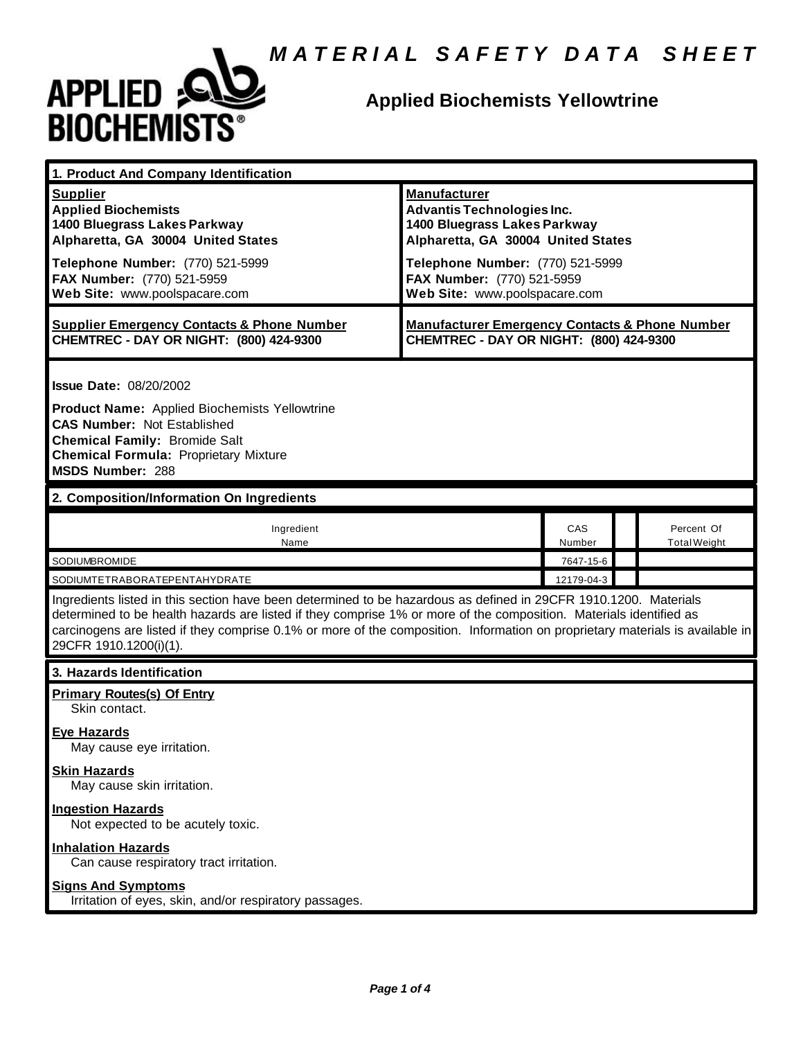

#### **Applied Biochemists Yellowtrine**

| 1. Product And Company Identification                                                                                                                                                                                                                                                                                                                                                             |                                                                                                                                                                                                                                   |               |  |                                   |  |
|---------------------------------------------------------------------------------------------------------------------------------------------------------------------------------------------------------------------------------------------------------------------------------------------------------------------------------------------------------------------------------------------------|-----------------------------------------------------------------------------------------------------------------------------------------------------------------------------------------------------------------------------------|---------------|--|-----------------------------------|--|
| <b>Supplier</b><br><b>Applied Biochemists</b><br>1400 Bluegrass Lakes Parkway<br>Alpharetta, GA 30004 United States<br>Telephone Number: (770) 521-5999<br>FAX Number: (770) 521-5959<br>Web Site: www.poolspacare.com                                                                                                                                                                            | <b>Manufacturer</b><br><b>Advantis Technologies Inc.</b><br>1400 Bluegrass Lakes Parkway<br>Alpharetta, GA 30004 United States<br>Telephone Number: (770) 521-5999<br>FAX Number: (770) 521-5959<br>Web Site: www.poolspacare.com |               |  |                                   |  |
| <b>Supplier Emergency Contacts &amp; Phone Number</b><br>CHEMTREC - DAY OR NIGHT: (800) 424-9300                                                                                                                                                                                                                                                                                                  | <b>Manufacturer Emergency Contacts &amp; Phone Number</b><br>CHEMTREC - DAY OR NIGHT: (800) 424-9300                                                                                                                              |               |  |                                   |  |
| <b>Issue Date: 08/20/2002</b><br><b>Product Name:</b> Applied Biochemists Yellowtrine<br><b>CAS Number: Not Established</b><br><b>Chemical Family: Bromide Salt</b><br><b>Chemical Formula: Proprietary Mixture</b><br><b>MSDS Number: 288</b>                                                                                                                                                    |                                                                                                                                                                                                                                   |               |  |                                   |  |
| 2. Composition/Information On Ingredients                                                                                                                                                                                                                                                                                                                                                         |                                                                                                                                                                                                                                   |               |  |                                   |  |
| Ingredient<br>Name                                                                                                                                                                                                                                                                                                                                                                                |                                                                                                                                                                                                                                   | CAS<br>Number |  | Percent Of<br><b>Total Weight</b> |  |
| SODIUMBROMIDE                                                                                                                                                                                                                                                                                                                                                                                     |                                                                                                                                                                                                                                   | 7647-15-6     |  |                                   |  |
| 12179-04-3<br>SODIUMTETRABORATEPENTAHYDRATE                                                                                                                                                                                                                                                                                                                                                       |                                                                                                                                                                                                                                   |               |  |                                   |  |
| Ingredients listed in this section have been determined to be hazardous as defined in 29CFR 1910.1200. Materials<br>determined to be health hazards are listed if they comprise 1% or more of the composition. Materials identified as<br>carcinogens are listed if they comprise 0.1% or more of the composition. Information on proprietary materials is available in<br>29CFR 1910.1200(i)(1). |                                                                                                                                                                                                                                   |               |  |                                   |  |
| 3. Hazards Identification                                                                                                                                                                                                                                                                                                                                                                         |                                                                                                                                                                                                                                   |               |  |                                   |  |
| <b>Primary Routes(s) Of Entry</b><br>Skin contact.<br><b>Eye Hazards</b><br>May cause eye irritation.<br><b>Skin Hazards</b><br>May cause skin irritation.<br><b>Ingestion Hazards</b><br>Not expected to be acutely toxic.<br><b>Inhalation Hazards</b><br>Can cause respiratory tract irritation.<br><b>Signs And Symptoms</b>                                                                  |                                                                                                                                                                                                                                   |               |  |                                   |  |
| Irritation of eyes, skin, and/or respiratory passages.                                                                                                                                                                                                                                                                                                                                            |                                                                                                                                                                                                                                   |               |  |                                   |  |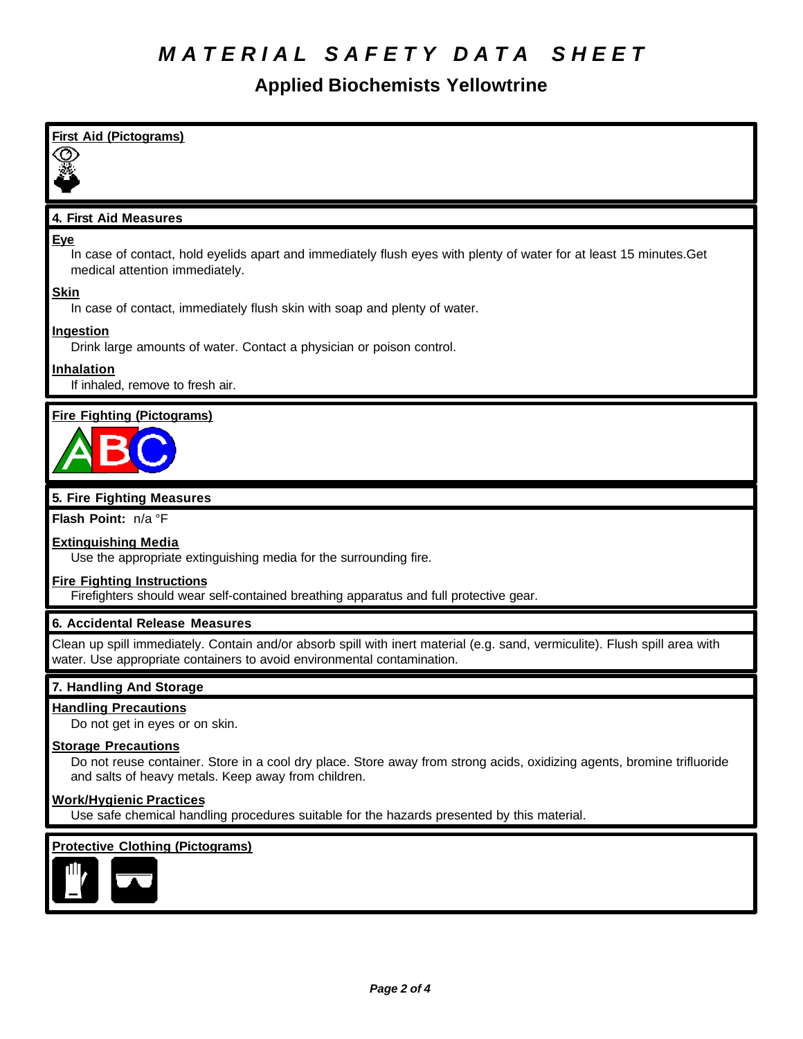# *M A T E R I A L S A F E T Y D A T A S H E E T*

#### **Applied Biochemists Yellowtrine**

| <b>First Aid (Pictograms)</b>                                                                                                                                                                          |
|--------------------------------------------------------------------------------------------------------------------------------------------------------------------------------------------------------|
|                                                                                                                                                                                                        |
|                                                                                                                                                                                                        |
| 4. First Aid Measures                                                                                                                                                                                  |
| Eye                                                                                                                                                                                                    |
| In case of contact, hold eyelids apart and immediately flush eyes with plenty of water for at least 15 minutes. Get<br>medical attention immediately.                                                  |
| <b>Skin</b><br>In case of contact, immediately flush skin with soap and plenty of water.                                                                                                               |
| <b>Ingestion</b><br>Drink large amounts of water. Contact a physician or poison control.                                                                                                               |
| Inhalation                                                                                                                                                                                             |
| If inhaled, remove to fresh air.                                                                                                                                                                       |
| <b>Fire Fighting (Pictograms)</b>                                                                                                                                                                      |
|                                                                                                                                                                                                        |
|                                                                                                                                                                                                        |
| 5. Fire Fighting Measures                                                                                                                                                                              |
| Flash Point: n/a °F                                                                                                                                                                                    |
| <b>Extinguishing Media</b><br>Use the appropriate extinguishing media for the surrounding fire.                                                                                                        |
| <b>Fire Fighting Instructions</b>                                                                                                                                                                      |
| Firefighters should wear self-contained breathing apparatus and full protective gear.                                                                                                                  |
| 6. Accidental Release Measures                                                                                                                                                                         |
| Clean up spill immediately. Contain and/or absorb spill with inert material (e.g. sand, vermiculite). Flush spill area with<br>water. Use appropriate containers to avoid environmental contamination. |
| 7. Handling And Storage                                                                                                                                                                                |
| <b>Handling Precautions</b><br>Do not get in eyes or on skin.                                                                                                                                          |
| <b>Storage Precautions</b>                                                                                                                                                                             |
| Do not reuse container. Store in a cool dry place. Store away from strong acids, oxidizing agents, bromine trifluoride<br>and salts of heavy metals. Keep away from children.                          |
| <b>Work/Hygienic Practices</b><br>Use safe chemical handling procedures suitable for the hazards presented by this material.                                                                           |
| <b>Protective Clothing (Pictograms)</b>                                                                                                                                                                |
|                                                                                                                                                                                                        |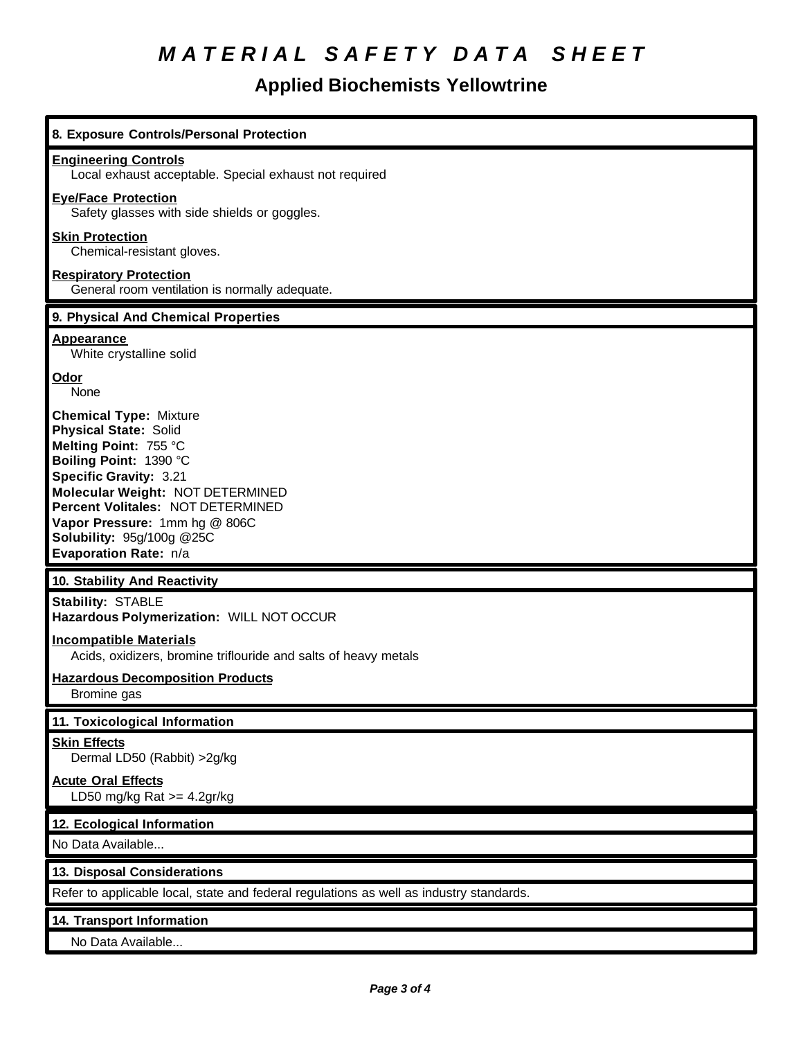# *M A T E R I A L S A F E T Y D A T A S H E E T*

### **Applied Biochemists Yellowtrine**

| 8. Exposure Controls/Personal Protection                                                                                                                                                                                                                                                                          |
|-------------------------------------------------------------------------------------------------------------------------------------------------------------------------------------------------------------------------------------------------------------------------------------------------------------------|
| <b>Engineering Controls</b><br>Local exhaust acceptable. Special exhaust not required                                                                                                                                                                                                                             |
| <b>Eye/Face Protection</b><br>Safety glasses with side shields or goggles.                                                                                                                                                                                                                                        |
| <b>Skin Protection</b><br>Chemical-resistant gloves.                                                                                                                                                                                                                                                              |
| <b>Respiratory Protection</b><br>General room ventilation is normally adequate.                                                                                                                                                                                                                                   |
| 9. Physical And Chemical Properties                                                                                                                                                                                                                                                                               |
| <b>Appearance</b><br>White crystalline solid                                                                                                                                                                                                                                                                      |
| Odor<br>None                                                                                                                                                                                                                                                                                                      |
| <b>Chemical Type: Mixture</b><br><b>Physical State: Solid</b><br>Melting Point: 755 °C<br>Boiling Point: 1390 °C<br>Specific Gravity: 3.21<br>Molecular Weight: NOT DETERMINED<br>Percent Volitales: NOT DETERMINED<br>Vapor Pressure: 1mm hg @ 806C<br><b>Solubility: 95g/100g @25C</b><br>Evaporation Rate: n/a |
| 10. Stability And Reactivity                                                                                                                                                                                                                                                                                      |
| Stability: STABLE<br>Hazardous Polymerization: WILL NOT OCCUR                                                                                                                                                                                                                                                     |
| <b>Incompatible Materials</b><br>Acids, oxidizers, bromine triflouride and salts of heavy metals                                                                                                                                                                                                                  |
| <b>Hazardous Decomposition Products</b><br>Bromine gas                                                                                                                                                                                                                                                            |
| 11. Toxicological Information                                                                                                                                                                                                                                                                                     |
| <b>Skin Effects</b><br>Dermal LD50 (Rabbit) > 2g/kg                                                                                                                                                                                                                                                               |
| <b>Acute Oral Effects</b><br>LD50 mg/kg Rat $>=$ 4.2gr/kg                                                                                                                                                                                                                                                         |
| 12. Ecological Information                                                                                                                                                                                                                                                                                        |
| No Data Available                                                                                                                                                                                                                                                                                                 |
| 13. Disposal Considerations                                                                                                                                                                                                                                                                                       |
| Refer to applicable local, state and federal regulations as well as industry standards.                                                                                                                                                                                                                           |
| 14. Transport Information                                                                                                                                                                                                                                                                                         |
|                                                                                                                                                                                                                                                                                                                   |